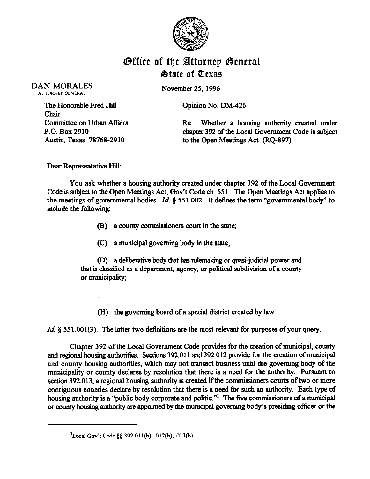

## **Office of the Attornep General**  $\&$ tate of Texas

DAN MORALES **ATTORNEY GENERAL** 

November 25, 1996

Opinion No. DM-426

The Honorable Fred Hill Chair Committee on Urban Affairs P.O. Box 2910 Austin, Texas 78768-2910

Re: Whether a housing authority created under chapter 392 of the Local Government Code is subject to the Open Meetings Act (RQ-897)

Dear Representative Hill:

You ask whether a housing authority created under chapter 392 of the Local Government Code is subject to the Open Meetings Act, Gov't Code ch. 55 1. The Open Meetings Act applies to the meetings of governmental bodies. *Id. 5* 551.002. It defines the term "governmental body" to include the following:

- (B) a county commissioners court in the state;
- (C) a municipal governing body in the state;

(D) a deliberative body that has rulemaking or quasi-judicial power and that is classified as a department, agency, or political subdivision of a county or municipality;

.

(H) the governing board of a special district created by law.

*Id.* § 551.001(3). The latter two definitions are the most relevant for purposes of your query.

Chapter 392 of the Local Government Code provides for the creation of municipal, county and regional housing authorities. Sections 392.011 and 392.012 provide for the creation of municipal and county housing authorities, which may not transact business until the governing body of the municipality or county declares by resolution that there is a need for the authority. Pursuant to section 392.013, a regional housing authority is created if the commissioners courts of two or more contiguous counties declare by resolution that there is a need for such an authority. Each type of housing authority is a "public body corporate and politic."<sup>1</sup> The five commissioners of a municipal or county housing authority are appointed by the municipal governing body's presiding officer or the

 ${}^{1}$ Local Gov't Code §§ 392.011(b), .012(b), .013(b).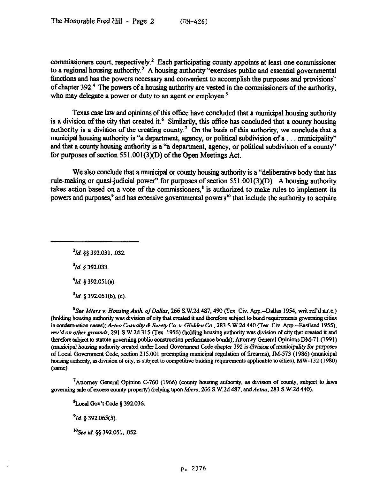commissioners court, respectively.<sup>2</sup> Each participating county appoints at least one commissioner to a regional housing authority.<sup>3</sup> A housing authority "exercises public and essential governmental timctions and has the powers necessary and convenient to accomplish the purposes and provisions" of chapter 392.' The powers of a housing authority are vested in the commissioners of the authority, who may delegate a power or duty to an agent or employee.<sup>5</sup>

Texas case law and opinions ofthis office have concluded that a municipal housing authority is a division of the city that created it.<sup>6</sup> Similarily, this office has concluded that a county housing authority is a division of the creating county.<sup>7</sup> On the basis of this authority, we conclude that a municipal housing authority is "a department, agency, or political subdivision of  $a \dots$  municipality" and that a county housing authority is a "a department, agency, or political subdivision of a county" for purposes of section  $551.001(3)(D)$  of the Open Meetings Act.

We also conclude that a municipal or county housing authority is a "deliberative body that has rule-making or quasi-judicial power" for purposes of section 551.001(3)(D). A housing authority takes action based on a vote of the commissioners, $<sup>8</sup>$  is authorized to make rules to implement its</sup> powers and purposes,<sup>9</sup> and has extensive governmental powers<sup>10</sup> that include the authority to acquire

*'Id. \$5 392.031. .032.* 

*'Id. \$392.033* 

*'Id. 5 392.051(a)* 

*\*Id. 5 392.051(b), (c).* 

<sup>6</sup>See Miers v. Housing Auth. of Dallas, 266 S.W.2d 487, 490 (Tex. Civ. App.--Dallas 1954, writ ref'd n.r.e.) (holding housing authority was division of city that created it and tberefcre subject to band requirements governing cities in condemnation cases); *Aetna Casualty & Surety Co. v. Glidden Co.*, 283 S.W.2d 440 (Tex. Civ. App.--Eastland 1955), *mv 'd on other grounds, 29 1* S.W.2d 3 15 (Tex. 1956) (holding housing authority was division of city that created it and therefore subject to statute governing public construction performance bonds); Attorney General Opinions DM-71 (1991) (municipal housing authority created under Local Government Code chapter 392 is division of municipality for purposes of Local Government Code, section 215.001 preempting municipal regulation of firearms), JM-573 (1986) (municipal housing authority, as division of city, is subject to competitive bidding requirements applicable to cities), MW-132 (1980) (same).

'Attorney General Opinion C-760 (1966) (county housing authority, as division of county, subject to laws governing sale ofexcess county property) (relying upon *Mien,* 266 S.W.Zd 487. and *Aetna, 283* S.W.2d 440).

 $^{\text{8}}$ Local Gov't Code § 392.036.

*91d. 5 392.065(5).* 

*'?% id. \$5* 392.051, ,052.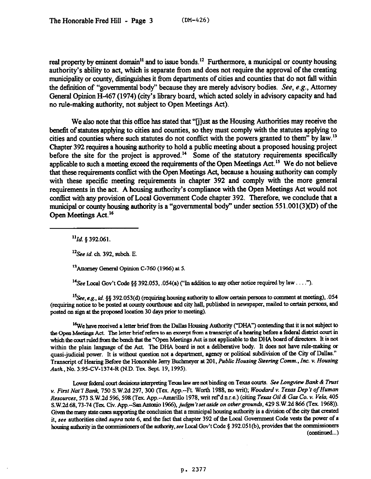real property by eminent domain<sup>11</sup> and to issue bonds.<sup>12</sup> Furthermore, a municipal or county housing authority's ability to act, which is separate from and does not require the approval of the creating municipality or county, distinguishes it from departments of cities and counties that do not fall within the definition of "governmental body" because they are merely advisory bodies. See, e.g., Attorney General Opinion H-467 (1974) (city's library board, which acted solely in advisory capacity and had no rule-making authority, not subject to Open Meetings Act).

We also note that this office has stated that "[j]ust as the Housing Authorities may receive the benefit of statutes applying to cities and counties, so they must comply with the statutes applying to cities and counties where such statutes do not conflict with the powers granted to them" by law.<sup>13</sup> Chapter 392 requires a housing authority to hold a public meeting about a proposed housing project before the site for the project is approved.<sup>14</sup> Some of the statutory requirements specifically applicable to such a meeting exceed the requirements of the Open Meetings Act.<sup>15</sup> We do not believe that these requirements conflict with the Open Meetings Act, because a housing authority can comply with these specific meeting requirements in chapter 392 and comply with the more general requirements in the act. A housing authority's compliance with the Open Meetings Act would not conflict with sny provision of Local Government Code chapter 392. Therefore, we conclude that a municipal or county housing authority is a "governmental body" under section 55 1 .001(3)(D) of the Open Meetings Act.<sup>16</sup>

*"Id. 5 392.061.* 

*'\*See id. ch. 392, sub&.* E.

<sup>13</sup>Attorney General Opinion C-760 (1966) at 5.

<sup>14</sup> See Local Gov't Code §§ 392.053, .054(a) ("In addition to any other notice required by law....").

 $^{15}$ See, e.g., id. §§ 392.053(d) (requiring housing authority to allow certain persons to comment at meeting), 054 (requiring notice to be posted at county courthouse and city hall, published in newspaper, mailed to certain persons, and posted on sign at the proposed location 30 days prior to meeting).

<sup>16</sup>We have received a letter brief from the Dallas Housing Authority ("DHA") contending that it is not subject to the Open Meetings Act. The letter brief refers to an excerpt from a transcript of a hearing before a federal district court in which the court ruled from the bench that the "Open Meetings Act is not applicable to the DHA board of directors. It is not within the plain language of the Act. The DHA board is not a deliberative body. It does not have rule-making or quasi-judicial power. It is without question not a department, agency or political subdivision of the City of Dallas." Transcript of Hearing Before the Honorable *Jerry* Buchmeyer *at 201, Public Housing Steering Comm., Inc. v. Homing Auth., No.* 3:95-CV-1374-R (N.D. Tex. Sept. 19,199S).

Lower federal court decisions interpreting Texas law are not binding on Texas courts. See Longview Bank & Trust *v. First Nat'l Bank, 750 S.W.2d 297, 300 (Tex. App.*--Ft. Worth 1988, no writ); *Woodard v. Texas Dep't of Human*<br>*Resources, 573 S.W.2d 596, 598 (Tex. App.*--Amarillo 1978, writ ref'd n.r.e.) (citing *Texas Oil & Gas Co. Resources,* 573 S.W.Zd 596,598 (Tex App.-Amarillo 1978. wit r&d n.r.e.) (citing *Texas Oil & Gas Co. Y. Vela 405 S.W2d68,73-74* (Tex Civ. App.-San Antcnio 1966), *judgm'fsetmide on othergrounds, 429* S.W.Zd 866 (TCX 1968)). Given the many state cases supporting the conclusion that a municipal housing authority is a division of the city that created it, see authorities cited supra note 6, and the fact that chapter 392 of the Local Government Code vests the power of a housing authority in the commissioners of the authority, see Local Gov't Code § 392.051(b), provides that the commissioners  $(continued...)$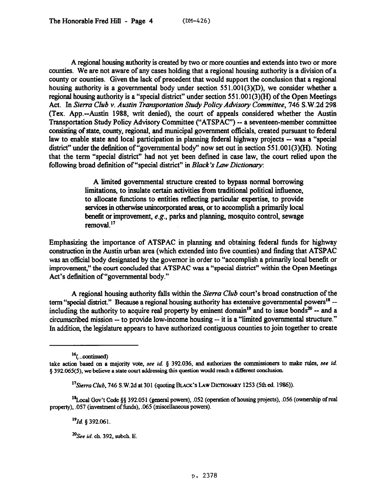A regional housing authority is created by two or more counties and extends into two or more counties. We are not aware of any cases holding that a regional housing authority is a division of a county or counties. Given the lack of precedent that would support the conclusion that a regional housing authority is a governmental body under section 551.001(3)(D), we consider whether a regional housing authority is a "special district" under section 551.001(3)(H) of the Open Meetings Act. In *Sierra Club v. Austin Tramportation Study Policy Advisory Committee, 746* S.W.2d 298 (Tex. App.-Austin 1988, writ denied), the court of appeals considered whether the Austin Transportation Study Policy Advisory Committee ("ATSPAC") - a seventeen-member committee consisting of state, county, regional, and municipal government officials, created pursuant to federal law to enable state and local participation in planning federal highway projects -- was a "special" district" under the definition of "governmental body" now set out in section 551.001(3)(H). Noting that the term "special district" had not yet been defined in case law, the court relied upon the following broad definition of "special district" in *Bluck's Law Dictionary:* 

> A limited governmental structure created to bypass normal borrowing limitations, to insulate certain activities from traditional political influence, to allocate functions to entities reflecting particular expertise, to provide services in otherwise unincorporated meas, or to accomplish a primarily local benefit or improvement, e.g., parks and planning, mosquito control, sewage removal."

Emphasizing the importance of ATSPAC in planning and obtaining federal funds for highway construction in the Austin urban area (which extended into five counties) and finding that ATSPAC was an official body designated by the governor in order to "accomplish a primarily local benefit or improvement," the court concluded that ATSPAC was a "special district" within the Open Meetings Act's definition of "governmental body."

A regional housing authority falls within the *Sierra Club* court's broad construction of the term "special district." Because a regional housing authority has extensive governmental powers<sup>18</sup> -including the authority to acquire real property by eminent domain<sup>19</sup> and to issue bonds<sup>20</sup> -- and a circumscribed mission -- to provide low-income housing -- it is a "limited governmental structure." In addition, the legislature appears to have authorized contiguous counties to join together to create

<sup>18</sup>Local Gov't Code §§ 392.051 (general powers), .052 (operation of housing projects), .056 (ownership of real property),  $.057$  (investment of funds),  $.065$  (miscellaneous powers).

*191d. 5 392.061.* 

 $20$ See id. ch. 392, subch. E.

 $16$ (...continued)

take action based on a majority vote, see *id.* § 392.036, and authorizes the commissioners to make rules, see id.  $§$  392.065(5), we believe a state court addressing this question would reach a different conclusion.

*<sup>&</sup>quot;Sierra Club, 746* S.W.2d at 301 (quoting BLACK'S LAW DICTIONARY 1253 (5th ed. 1986)).